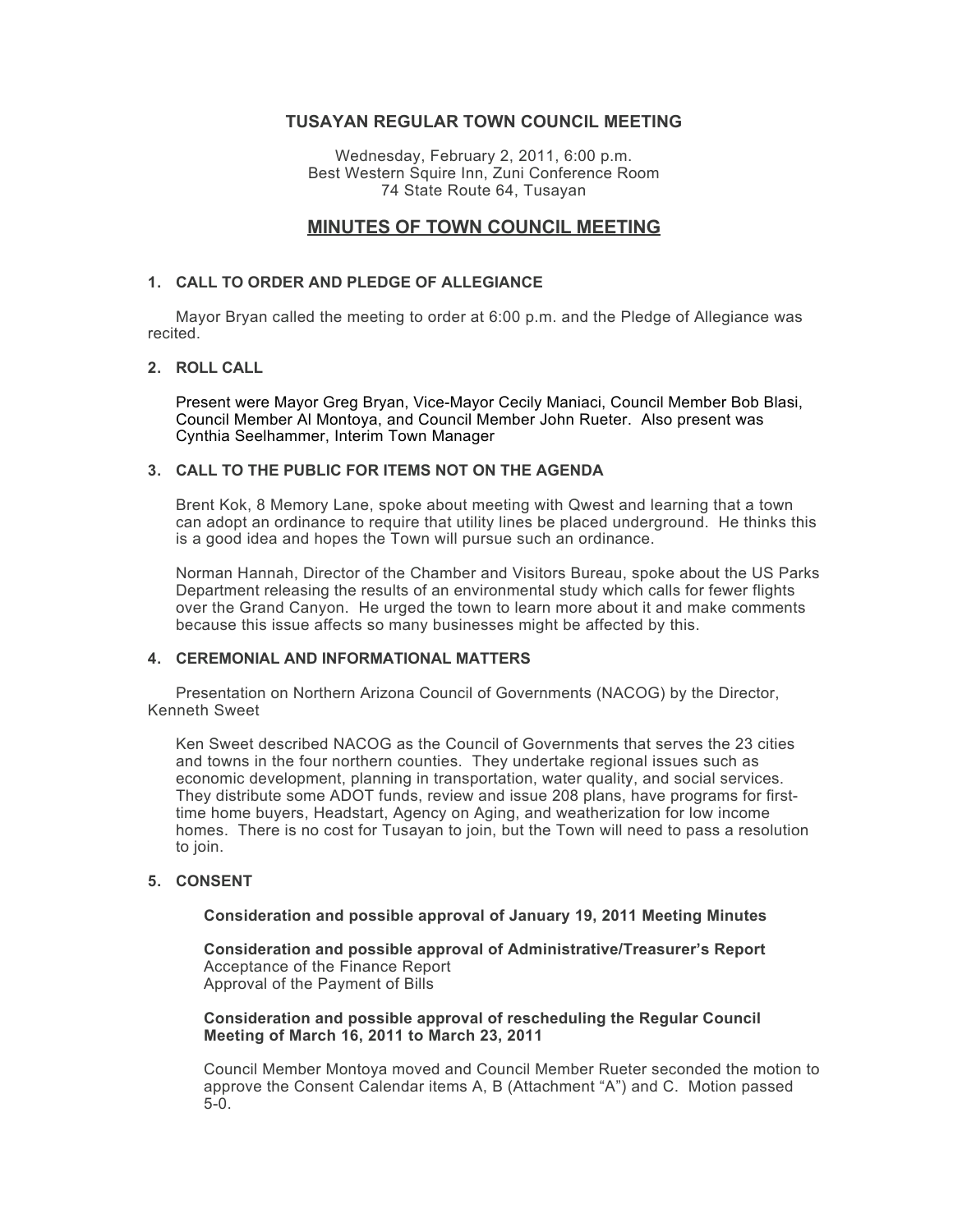# **TUSAYAN REGULAR TOWN COUNCIL MEETING**

Wednesday, February 2, 2011, 6:00 p.m. Best Western Squire Inn, Zuni Conference Room 74 State Route 64, Tusayan

# **MINUTES OF TOWN COUNCIL MEETING**

## **1. CALL TO ORDER AND PLEDGE OF ALLEGIANCE**

Mayor Bryan called the meeting to order at 6:00 p.m. and the Pledge of Allegiance was recited.

## **2. ROLL CALL**

Present were Mayor Greg Bryan, Vice-Mayor Cecily Maniaci, Council Member Bob Blasi, Council Member Al Montoya, and Council Member John Rueter. Also present was Cynthia Seelhammer, Interim Town Manager

## **3. CALL TO THE PUBLIC FOR ITEMS NOT ON THE AGENDA**

Brent Kok, 8 Memory Lane, spoke about meeting with Qwest and learning that a town can adopt an ordinance to require that utility lines be placed underground. He thinks this is a good idea and hopes the Town will pursue such an ordinance.

Norman Hannah, Director of the Chamber and Visitors Bureau, spoke about the US Parks Department releasing the results of an environmental study which calls for fewer flights over the Grand Canyon. He urged the town to learn more about it and make comments because this issue affects so many businesses might be affected by this.

## **4. CEREMONIAL AND INFORMATIONAL MATTERS**

Presentation on Northern Arizona Council of Governments (NACOG) by the Director, Kenneth Sweet

Ken Sweet described NACOG as the Council of Governments that serves the 23 cities and towns in the four northern counties. They undertake regional issues such as economic development, planning in transportation, water quality, and social services. They distribute some ADOT funds, review and issue 208 plans, have programs for firsttime home buyers, Headstart, Agency on Aging, and weatherization for low income homes. There is no cost for Tusayan to join, but the Town will need to pass a resolution to join.

## **5. CONSENT**

#### **Consideration and possible approval of January 19, 2011 Meeting Minutes**

**Consideration and possible approval of Administrative/Treasurer's Report** Acceptance of the Finance Report Approval of the Payment of Bills

**Consideration and possible approval of rescheduling the Regular Council Meeting of March 16, 2011 to March 23, 2011**

Council Member Montoya moved and Council Member Rueter seconded the motion to approve the Consent Calendar items A, B (Attachment "A") and C. Motion passed 5-0.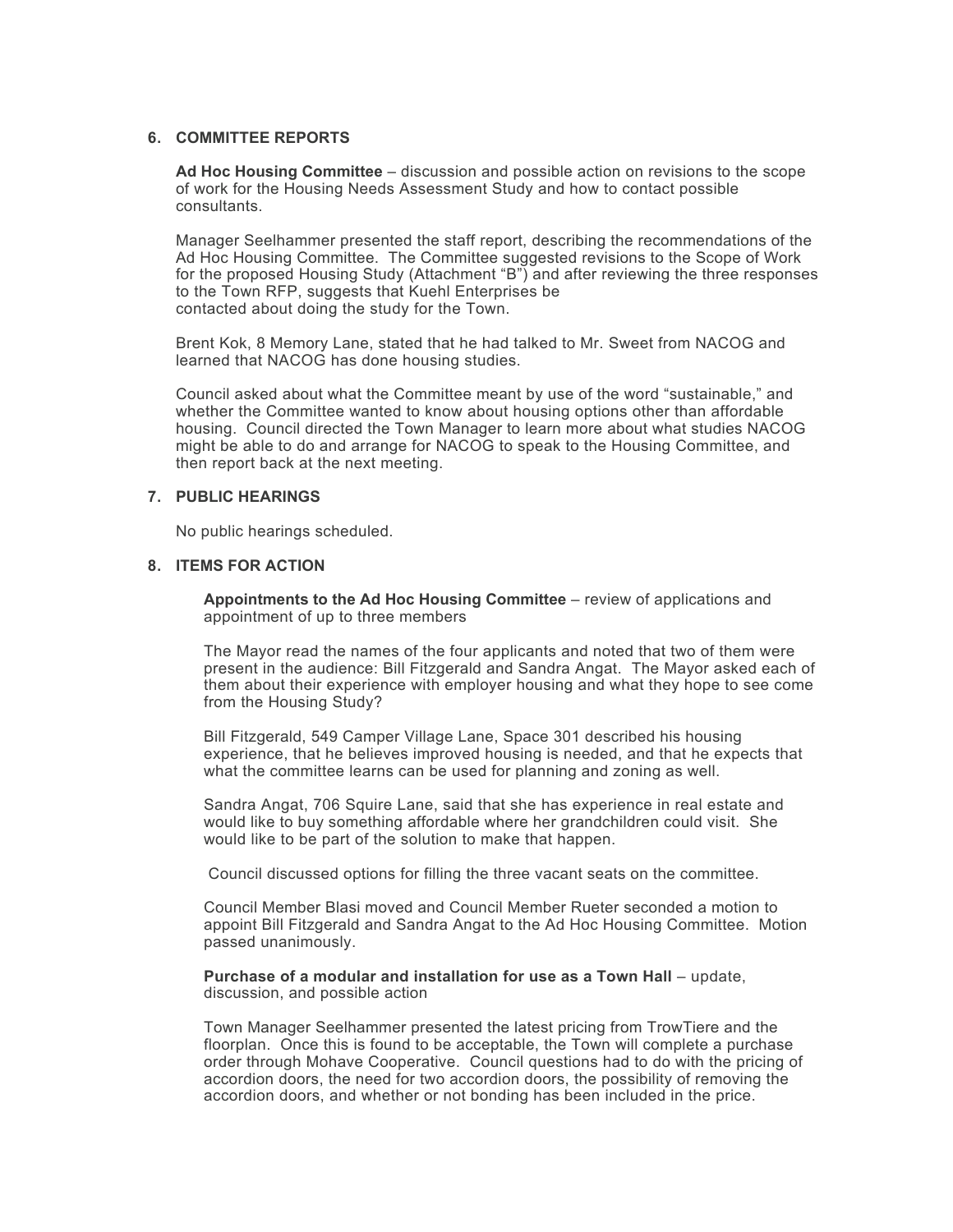## **6. COMMITTEE REPORTS**

**Ad Hoc Housing Committee** – discussion and possible action on revisions to the scope of work for the Housing Needs Assessment Study and how to contact possible consultants.

Manager Seelhammer presented the staff report, describing the recommendations of the Ad Hoc Housing Committee. The Committee suggested revisions to the Scope of Work for the proposed Housing Study (Attachment "B") and after reviewing the three responses to the Town RFP, suggests that Kuehl Enterprises be contacted about doing the study for the Town.

Brent Kok, 8 Memory Lane, stated that he had talked to Mr. Sweet from NACOG and learned that NACOG has done housing studies.

Council asked about what the Committee meant by use of the word "sustainable," and whether the Committee wanted to know about housing options other than affordable housing. Council directed the Town Manager to learn more about what studies NACOG might be able to do and arrange for NACOG to speak to the Housing Committee, and then report back at the next meeting.

#### **7. PUBLIC HEARINGS**

No public hearings scheduled.

## **8. ITEMS FOR ACTION**

**Appointments to the Ad Hoc Housing Committee** – review of applications and appointment of up to three members

The Mayor read the names of the four applicants and noted that two of them were present in the audience: Bill Fitzgerald and Sandra Angat. The Mayor asked each of them about their experience with employer housing and what they hope to see come from the Housing Study?

Bill Fitzgerald, 549 Camper Village Lane, Space 301 described his housing experience, that he believes improved housing is needed, and that he expects that what the committee learns can be used for planning and zoning as well.

Sandra Angat, 706 Squire Lane, said that she has experience in real estate and would like to buy something affordable where her grandchildren could visit. She would like to be part of the solution to make that happen.

Council discussed options for filling the three vacant seats on the committee.

Council Member Blasi moved and Council Member Rueter seconded a motion to appoint Bill Fitzgerald and Sandra Angat to the Ad Hoc Housing Committee. Motion passed unanimously.

**Purchase of a modular and installation for use as a Town Hall** – update, discussion, and possible action

Town Manager Seelhammer presented the latest pricing from TrowTiere and the floorplan. Once this is found to be acceptable, the Town will complete a purchase order through Mohave Cooperative. Council questions had to do with the pricing of accordion doors, the need for two accordion doors, the possibility of removing the accordion doors, and whether or not bonding has been included in the price.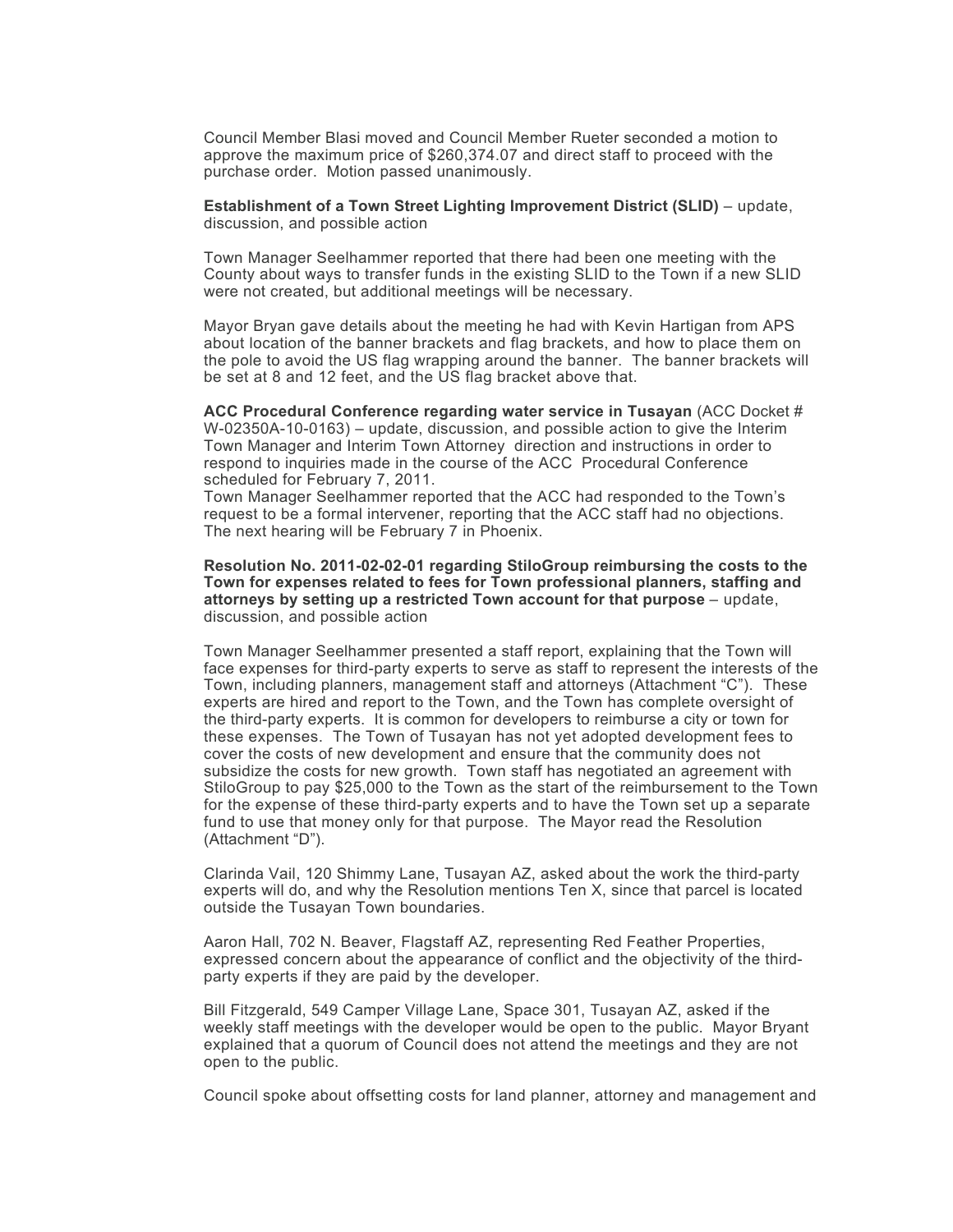Council Member Blasi moved and Council Member Rueter seconded a motion to approve the maximum price of \$260,374.07 and direct staff to proceed with the purchase order. Motion passed unanimously.

**Establishment of a Town Street Lighting Improvement District (SLID)** – update, discussion, and possible action

Town Manager Seelhammer reported that there had been one meeting with the County about ways to transfer funds in the existing SLID to the Town if a new SLID were not created, but additional meetings will be necessary.

Mayor Bryan gave details about the meeting he had with Kevin Hartigan from APS about location of the banner brackets and flag brackets, and how to place them on the pole to avoid the US flag wrapping around the banner. The banner brackets will be set at 8 and 12 feet, and the US flag bracket above that.

**ACC Procedural Conference regarding water service in Tusayan** (ACC Docket # W-02350A-10-0163) – update, discussion, and possible action to give the Interim Town Manager and Interim Town Attorney direction and instructions in order to respond to inquiries made in the course of the ACC Procedural Conference scheduled for February 7, 2011.

Town Manager Seelhammer reported that the ACC had responded to the Town's request to be a formal intervener, reporting that the ACC staff had no objections. The next hearing will be February 7 in Phoenix.

**Resolution No. 2011-02-02-01 regarding StiloGroup reimbursing the costs to the Town for expenses related to fees for Town professional planners, staffing and attorneys by setting up a restricted Town account for that purpose** – update, discussion, and possible action

Town Manager Seelhammer presented a staff report, explaining that the Town will face expenses for third-party experts to serve as staff to represent the interests of the Town, including planners, management staff and attorneys (Attachment "C"). These experts are hired and report to the Town, and the Town has complete oversight of the third-party experts. It is common for developers to reimburse a city or town for these expenses. The Town of Tusayan has not yet adopted development fees to cover the costs of new development and ensure that the community does not subsidize the costs for new growth. Town staff has negotiated an agreement with StiloGroup to pay \$25,000 to the Town as the start of the reimbursement to the Town for the expense of these third-party experts and to have the Town set up a separate fund to use that money only for that purpose. The Mayor read the Resolution (Attachment "D").

Clarinda Vail, 120 Shimmy Lane, Tusayan AZ, asked about the work the third-party experts will do, and why the Resolution mentions Ten X, since that parcel is located outside the Tusayan Town boundaries.

Aaron Hall, 702 N. Beaver, Flagstaff AZ, representing Red Feather Properties, expressed concern about the appearance of conflict and the objectivity of the thirdparty experts if they are paid by the developer.

Bill Fitzgerald, 549 Camper Village Lane, Space 301, Tusayan AZ, asked if the weekly staff meetings with the developer would be open to the public. Mayor Bryant explained that a quorum of Council does not attend the meetings and they are not open to the public.

Council spoke about offsetting costs for land planner, attorney and management and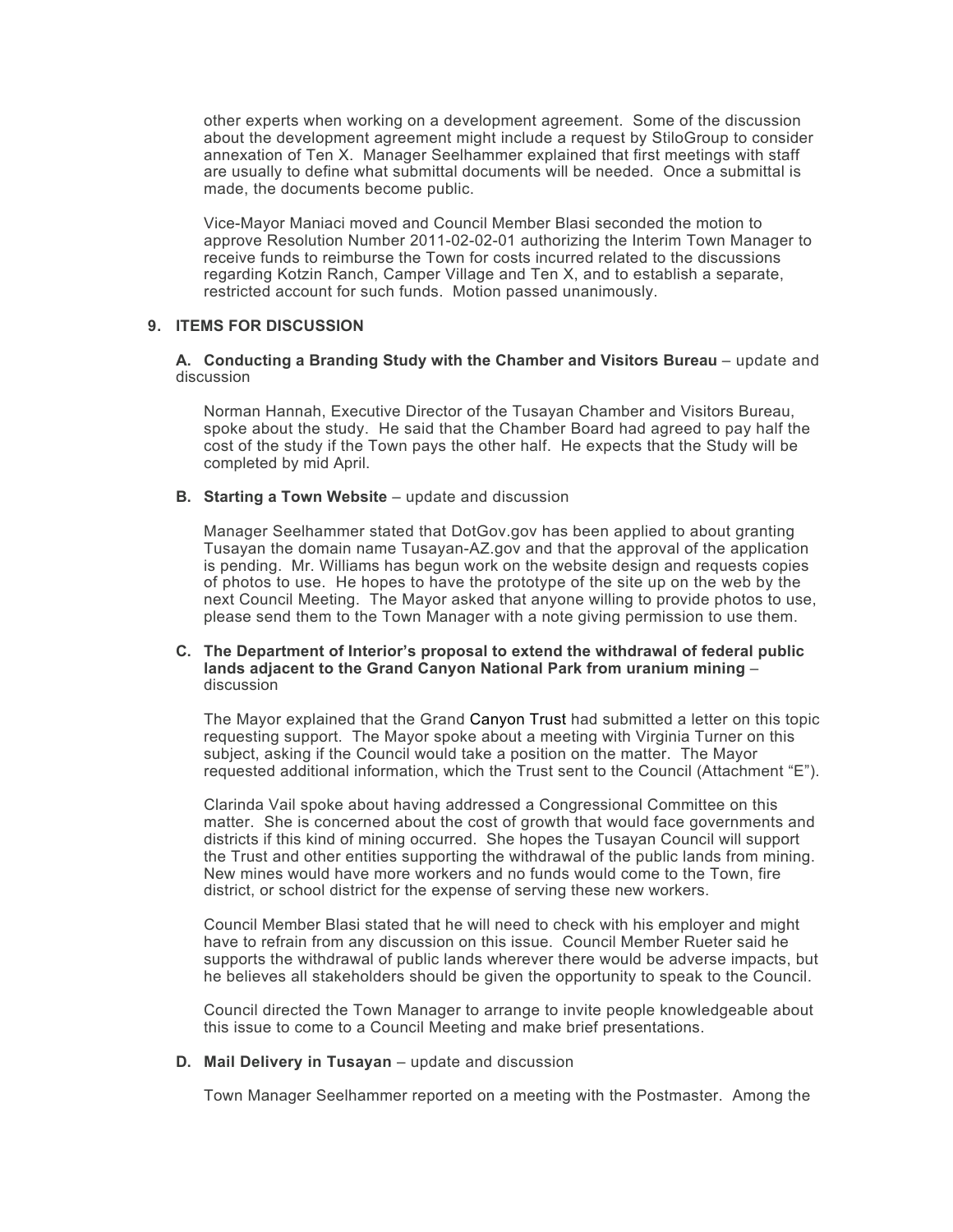other experts when working on a development agreement. Some of the discussion about the development agreement might include a request by StiloGroup to consider annexation of Ten X. Manager Seelhammer explained that first meetings with staff are usually to define what submittal documents will be needed. Once a submittal is made, the documents become public.

Vice-Mayor Maniaci moved and Council Member Blasi seconded the motion to approve Resolution Number 2011-02-02-01 authorizing the Interim Town Manager to receive funds to reimburse the Town for costs incurred related to the discussions regarding Kotzin Ranch, Camper Village and Ten X, and to establish a separate, restricted account for such funds. Motion passed unanimously.

## **9. ITEMS FOR DISCUSSION**

### A. Conducting a Branding Study with the Chamber and Visitors Bureau – update and discussion

Norman Hannah, Executive Director of the Tusayan Chamber and Visitors Bureau, spoke about the study. He said that the Chamber Board had agreed to pay half the cost of the study if the Town pays the other half. He expects that the Study will be completed by mid April.

**B. Starting a Town Website** – update and discussion

Manager Seelhammer stated that DotGov.gov has been applied to about granting Tusayan the domain name Tusayan-AZ.gov and that the approval of the application is pending. Mr. Williams has begun work on the website design and requests copies of photos to use. He hopes to have the prototype of the site up on the web by the next Council Meeting. The Mayor asked that anyone willing to provide photos to use, please send them to the Town Manager with a note giving permission to use them.

### **C. The Department of Interior's proposal to extend the withdrawal of federal public lands adjacent to the Grand Canyon National Park from uranium mining** – discussion

The Mayor explained that the Grand Canyon Trust had submitted a letter on this topic requesting support. The Mayor spoke about a meeting with Virginia Turner on this subject, asking if the Council would take a position on the matter. The Mayor requested additional information, which the Trust sent to the Council (Attachment "E").

Clarinda Vail spoke about having addressed a Congressional Committee on this matter. She is concerned about the cost of growth that would face governments and districts if this kind of mining occurred. She hopes the Tusayan Council will support the Trust and other entities supporting the withdrawal of the public lands from mining. New mines would have more workers and no funds would come to the Town, fire district, or school district for the expense of serving these new workers.

Council Member Blasi stated that he will need to check with his employer and might have to refrain from any discussion on this issue. Council Member Rueter said he supports the withdrawal of public lands wherever there would be adverse impacts, but he believes all stakeholders should be given the opportunity to speak to the Council.

Council directed the Town Manager to arrange to invite people knowledgeable about this issue to come to a Council Meeting and make brief presentations.

**D. Mail Delivery in Tusayan** – update and discussion

Town Manager Seelhammer reported on a meeting with the Postmaster. Among the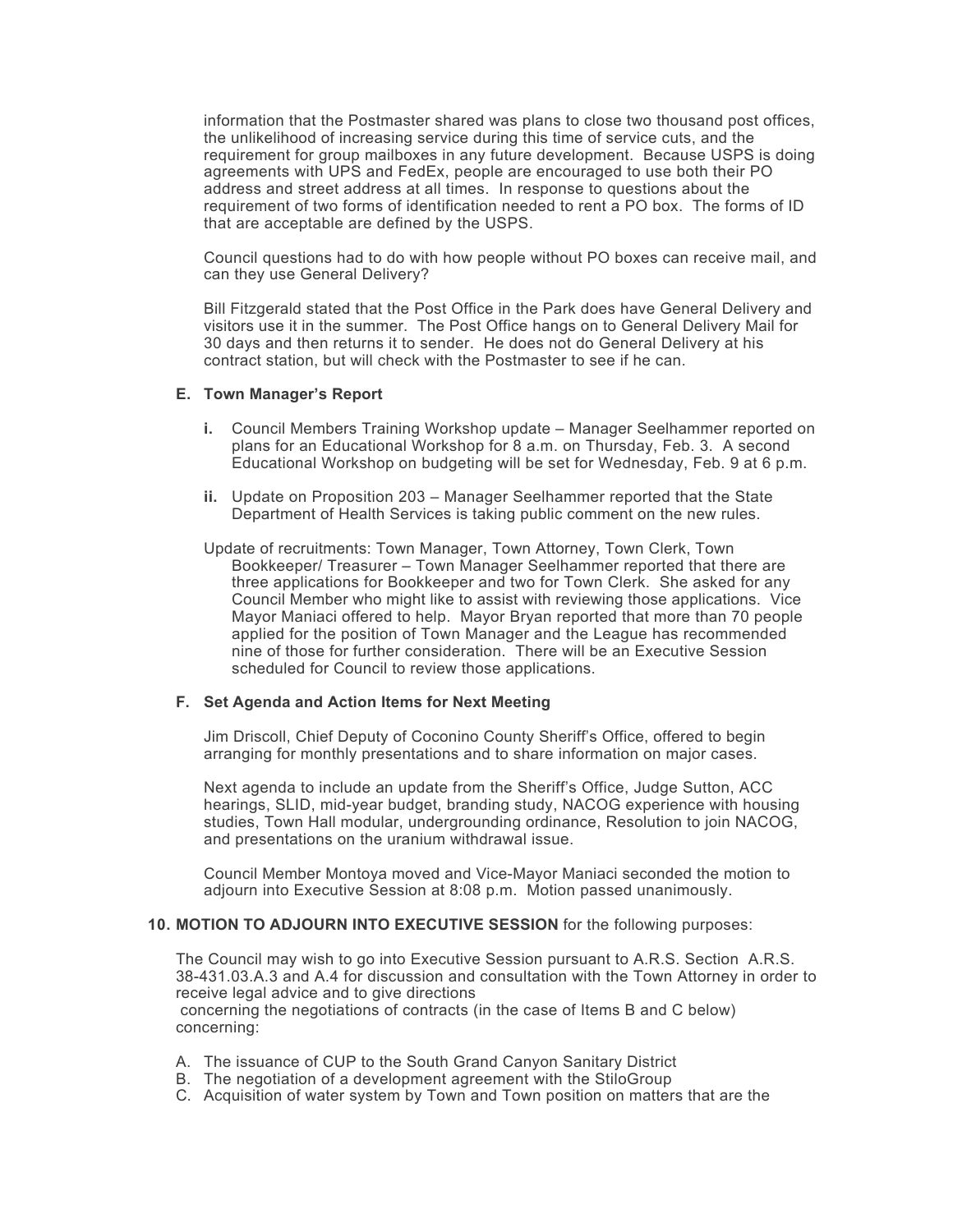information that the Postmaster shared was plans to close two thousand post offices, the unlikelihood of increasing service during this time of service cuts, and the requirement for group mailboxes in any future development. Because USPS is doing agreements with UPS and FedEx, people are encouraged to use both their PO address and street address at all times. In response to questions about the requirement of two forms of identification needed to rent a PO box. The forms of ID that are acceptable are defined by the USPS.

Council questions had to do with how people without PO boxes can receive mail, and can they use General Delivery?

Bill Fitzgerald stated that the Post Office in the Park does have General Delivery and visitors use it in the summer. The Post Office hangs on to General Delivery Mail for 30 days and then returns it to sender. He does not do General Delivery at his contract station, but will check with the Postmaster to see if he can.

## **E. Town Manager's Report**

- **i.** Council Members Training Workshop update Manager Seelhammer reported on plans for an Educational Workshop for 8 a.m. on Thursday, Feb. 3. A second Educational Workshop on budgeting will be set for Wednesday, Feb. 9 at 6 p.m.
- **ii.** Update on Proposition 203 Manager Seelhammer reported that the State Department of Health Services is taking public comment on the new rules.
- Update of recruitments: Town Manager, Town Attorney, Town Clerk, Town Bookkeeper/ Treasurer – Town Manager Seelhammer reported that there are three applications for Bookkeeper and two for Town Clerk. She asked for any Council Member who might like to assist with reviewing those applications. Vice Mayor Maniaci offered to help. Mayor Bryan reported that more than 70 people applied for the position of Town Manager and the League has recommended nine of those for further consideration. There will be an Executive Session scheduled for Council to review those applications.

#### **F. Set Agenda and Action Items for Next Meeting**

Jim Driscoll, Chief Deputy of Coconino County Sheriff's Office, offered to begin arranging for monthly presentations and to share information on major cases.

Next agenda to include an update from the Sheriff's Office, Judge Sutton, ACC hearings, SLID, mid-year budget, branding study, NACOG experience with housing studies, Town Hall modular, undergrounding ordinance, Resolution to join NACOG, and presentations on the uranium withdrawal issue.

Council Member Montoya moved and Vice-Mayor Maniaci seconded the motion to adjourn into Executive Session at 8:08 p.m. Motion passed unanimously.

### **10. MOTION TO ADJOURN INTO EXECUTIVE SESSION** for the following purposes:

The Council may wish to go into Executive Session pursuant to A.R.S. Section A.R.S. 38-431.03.A.3 and A.4 for discussion and consultation with the Town Attorney in order to receive legal advice and to give directions

 concerning the negotiations of contracts (in the case of Items B and C below) concerning:

- A. The issuance of CUP to the South Grand Canyon Sanitary District
- B. The negotiation of a development agreement with the StiloGroup
- C. Acquisition of water system by Town and Town position on matters that are the